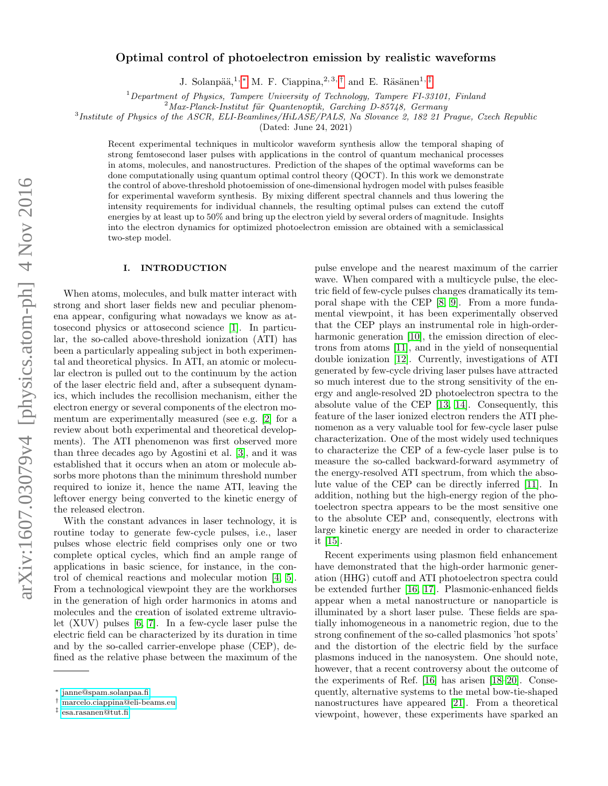# Optimal control of photoelectron emission by realistic waveforms

J. Solanpää,<sup>1,\*</sup> M. F. Ciappina,<sup>2,3,[†](#page-0-1)</sup> and E. Räsänen<sup>1,[‡](#page-0-2)</sup>

 $1$  Department of Physics, Tampere University of Technology, Tampere FI-33101, Finland

 $^{2}$ Max-Planck-Institut für Quantenoptik, Garching D-85748, Germany

<sup>3</sup>Institute of Physics of the ASCR, ELI-Beamlines/HiLASE/PALS, Na Slovance 2, 182 21 Prague, Czech Republic

(Dated: June 24, 2021)

Recent experimental techniques in multicolor waveform synthesis allow the temporal shaping of strong femtosecond laser pulses with applications in the control of quantum mechanical processes in atoms, molecules, and nanostructures. Prediction of the shapes of the optimal waveforms can be done computationally using quantum optimal control theory (QOCT). In this work we demonstrate the control of above-threshold photoemission of one-dimensional hydrogen model with pulses feasible for experimental waveform synthesis. By mixing different spectral channels and thus lowering the intensity requirements for individual channels, the resulting optimal pulses can extend the cutoff energies by at least up to 50% and bring up the electron yield by several orders of magnitude. Insights into the electron dynamics for optimized photoelectron emission are obtained with a semiclassical two-step model.

# I. INTRODUCTION

When atoms, molecules, and bulk matter interact with strong and short laser fields new and peculiar phenomena appear, configuring what nowadays we know as attosecond physics or attosecond science [\[1\]](#page-5-0). In particular, the so-called above-threshold ionization (ATI) has been a particularly appealing subject in both experimental and theoretical physics. In ATI, an atomic or molecular electron is pulled out to the continuum by the action of the laser electric field and, after a subsequent dynamics, which includes the recollision mechanism, either the electron energy or several components of the electron momentum are experimentally measured (see e.g. [\[2\]](#page-5-1) for a review about both experimental and theoretical developments). The ATI phenomenon was first observed more than three decades ago by Agostini et al. [\[3\]](#page-5-2), and it was established that it occurs when an atom or molecule absorbs more photons than the minimum threshold number required to ionize it, hence the name ATI, leaving the leftover energy being converted to the kinetic energy of the released electron.

With the constant advances in laser technology, it is routine today to generate few-cycle pulses, i.e., laser pulses whose electric field comprises only one or two complete optical cycles, which find an ample range of applications in basic science, for instance, in the control of chemical reactions and molecular motion [\[4,](#page-5-3) [5\]](#page-5-4). From a technological viewpoint they are the workhorses in the generation of high order harmonics in atoms and molecules and the creation of isolated extreme ultraviolet (XUV) pulses [\[6,](#page-5-5) [7\]](#page-5-6). In a few-cycle laser pulse the electric field can be characterized by its duration in time and by the so-called carrier-envelope phase (CEP), defined as the relative phase between the maximum of the

pulse envelope and the nearest maximum of the carrier wave. When compared with a multicycle pulse, the electric field of few-cycle pulses changes dramatically its temporal shape with the CEP [\[8,](#page-5-7) [9\]](#page-5-8). From a more fundamental viewpoint, it has been experimentally observed that the CEP plays an instrumental role in high-order-harmonic generation [\[10\]](#page-5-9), the emission direction of electrons from atoms [\[11\]](#page-5-10), and in the yield of nonsequential double ionization [\[12\]](#page-5-11). Currently, investigations of ATI generated by few-cycle driving laser pulses have attracted so much interest due to the strong sensitivity of the energy and angle-resolved 2D photoelectron spectra to the absolute value of the CEP [\[13,](#page-5-12) [14\]](#page-5-13). Consequently, this feature of the laser ionized electron renders the ATI phenomenon as a very valuable tool for few-cycle laser pulse characterization. One of the most widely used techniques to characterize the CEP of a few-cycle laser pulse is to measure the so-called backward-forward asymmetry of the energy-resolved ATI spectrum, from which the absolute value of the CEP can be directly inferred [\[11\]](#page-5-10). In addition, nothing but the high-energy region of the photoelectron spectra appears to be the most sensitive one to the absolute CEP and, consequently, electrons with large kinetic energy are needed in order to characterize it [\[15\]](#page-5-14).

Recent experiments using plasmon field enhancement have demonstrated that the high-order harmonic generation (HHG) cutoff and ATI photoelectron spectra could be extended further [\[16,](#page-5-15) [17\]](#page-5-16). Plasmonic-enhanced fields appear when a metal nanostructure or nanoparticle is illuminated by a short laser pulse. These fields are spatially inhomogeneous in a nanometric region, due to the strong confinement of the so-called plasmonics 'hot spots' and the distortion of the electric field by the surface plasmons induced in the nanosystem. One should note, however, that a recent controversy about the outcome of the experiments of Ref. [\[16\]](#page-5-15) has arisen [\[18–](#page-5-17)[20\]](#page-5-18). Consequently, alternative systems to the metal bow-tie-shaped nanostructures have appeared [\[21\]](#page-5-19). From a theoretical viewpoint, however, these experiments have sparked an

<span id="page-0-0"></span><sup>∗</sup> [janne@spam.solanpaa.fi](mailto:janne@spam.solanpaa.fi)

<span id="page-0-1"></span><sup>†</sup> [marcelo.ciappina@eli-beams.eu](mailto:marcelo.ciappina@eli-beams.eu)

<span id="page-0-2"></span><sup>‡</sup> [esa.rasanen@tut.fi](mailto:esa.rasanen@tut.fi)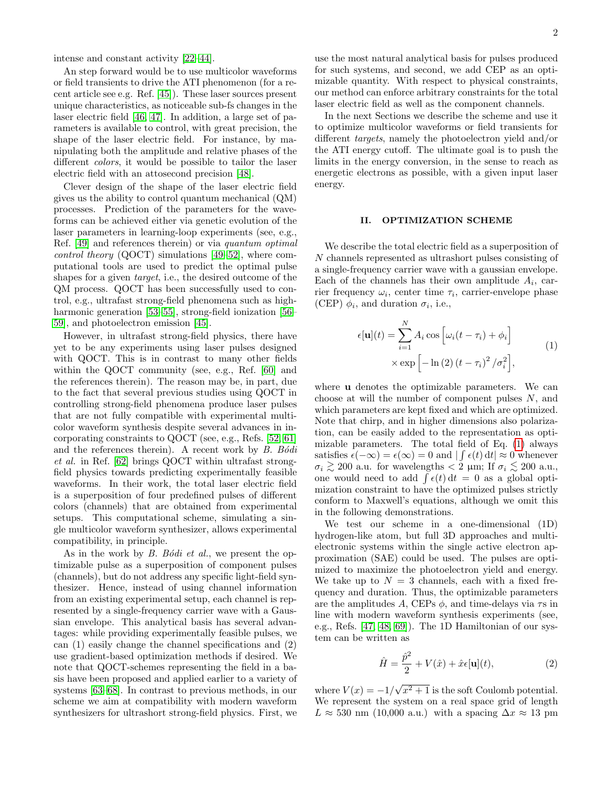intense and constant activity [\[22–](#page-5-20)[44\]](#page-6-0).

An step forward would be to use multicolor waveforms or field transients to drive the ATI phenomenon (for a recent article see e.g. Ref. [\[45\]](#page-6-1)). These laser sources present unique characteristics, as noticeable sub-fs changes in the laser electric field [\[46,](#page-6-2) [47\]](#page-6-3). In addition, a large set of parameters is available to control, with great precision, the shape of the laser electric field. For instance, by manipulating both the amplitude and relative phases of the different colors, it would be possible to tailor the laser electric field with an attosecond precision [\[48\]](#page-6-4).

Clever design of the shape of the laser electric field gives us the ability to control quantum mechanical (QM) processes. Prediction of the parameters for the waveforms can be achieved either via genetic evolution of the laser parameters in learning-loop experiments (see, e.g., Ref. [\[49\]](#page-6-5) and references therein) or via quantum optimal control theory (QOCT) simulations [\[49–](#page-6-5)[52\]](#page-6-6), where computational tools are used to predict the optimal pulse shapes for a given target, i.e., the desired outcome of the QM process. QOCT has been successfully used to control, e.g., ultrafast strong-field phenomena such as high-harmonic generation [\[53](#page-6-7)[–55\]](#page-6-8), strong-field ionization [\[56–](#page-6-9) [59\]](#page-6-10), and photoelectron emission [\[45\]](#page-6-1).

However, in ultrafast strong-field physics, there have yet to be any experiments using laser pulses designed with QOCT. This is in contrast to many other fields within the QOCT community (see, e.g., Ref. [\[60\]](#page-6-11) and the references therein). The reason may be, in part, due to the fact that several previous studies using QOCT in controlling strong-field phenomena produce laser pulses that are not fully compatible with experimental multicolor waveform synthesis despite several advances in incorporating constraints to QOCT (see, e.g., Refs. [\[52,](#page-6-6) [61\]](#page-6-12) and the references therein). A recent work by  $B. Bódi$ et al. in Ref. [\[62\]](#page-6-13) brings QOCT within ultrafast strongfield physics towards predicting experimentally feasible waveforms. In their work, the total laser electric field is a superposition of four predefined pulses of different colors (channels) that are obtained from experimental setups. This computational scheme, simulating a single multicolor waveform synthesizer, allows experimental compatibility, in principle.

As in the work by  $B.$  Bodi et al., we present the optimizable pulse as a superposition of component pulses (channels), but do not address any specific light-field synthesizer. Hence, instead of using channel information from an existing experimental setup, each channel is represented by a single-frequency carrier wave with a Gaussian envelope. This analytical basis has several advantages: while providing experimentally feasible pulses, we can (1) easily change the channel specifications and (2) use gradient-based optimization methods if desired. We note that QOCT-schemes representing the field in a basis have been proposed and applied earlier to a variety of systems [\[63–](#page-6-14)[68\]](#page-6-15). In contrast to previous methods, in our scheme we aim at compatibility with modern waveform synthesizers for ultrashort strong-field physics. First, we

use the most natural analytical basis for pulses produced for such systems, and second, we add CEP as an optimizable quantity. With respect to physical constraints, our method can enforce arbitrary constraints for the total laser electric field as well as the component channels.

In the next Sections we describe the scheme and use it to optimize multicolor waveforms or field transients for different targets, namely the photoelectron yield and/or the ATI energy cutoff. The ultimate goal is to push the limits in the energy conversion, in the sense to reach as energetic electrons as possible, with a given input laser energy.

### II. OPTIMIZATION SCHEME

We describe the total electric field as a superposition of N channels represented as ultrashort pulses consisting of a single-frequency carrier wave with a gaussian envelope. Each of the channels has their own amplitude  $A_i$ , carrier frequency  $\omega_i$ , center time  $\tau_i$ , carrier-envelope phase (CEP)  $\phi_i$ , and duration  $\sigma_i$ , i.e.,

<span id="page-1-0"></span>
$$
\epsilon[\mathbf{u}](t) = \sum_{i=1}^{N} A_i \cos \left[\omega_i (t - \tau_i) + \phi_i\right]
$$
  
 
$$
\times \exp \left[-\ln\left(2\right) (t - \tau_i)^2 / \sigma_i^2\right],
$$
 (1)

where **u** denotes the optimizable parameters. We can choose at will the number of component pulses  $N$ , and which parameters are kept fixed and which are optimized. Note that chirp, and in higher dimensions also polarization, can be easily added to the representation as optimizable parameters. The total field of Eq. [\(1\)](#page-1-0) always satisfies  $\epsilon(-\infty) = \epsilon(\infty) = 0$  and  $| \int \epsilon(t) dt | \approx 0$  whenever  $\sigma_i \gtrsim 200$  a.u. for wavelengths < 2 µm; If  $\sigma_i \lesssim 200$  a.u., one would need to add  $\int \epsilon(t) dt = 0$  as a global optimization constraint to have the optimized pulses strictly conform to Maxwell's equations, although we omit this in the following demonstrations.

We test our scheme in a one-dimensional (1D) hydrogen-like atom, but full 3D approaches and multielectronic systems within the single active electron approximation (SAE) could be used. The pulses are optimized to maximize the photoelectron yield and energy. We take up to  $N = 3$  channels, each with a fixed frequency and duration. Thus, the optimizable parameters are the amplitudes A, CEPs  $\phi$ , and time-delays via  $\tau$ s in line with modern waveform synthesis experiments (see, e.g., Refs. [\[47,](#page-6-3) [48,](#page-6-4) [69\]](#page-6-16)). The 1D Hamiltonian of our system can be written as

$$
\hat{H} = \frac{\hat{p}^2}{2} + V(\hat{x}) + \hat{x}\epsilon[\mathbf{u}](t),\tag{2}
$$

where  $V(x) = -1/$ √  $\sqrt{x^2+1}$  is the soft Coulomb potential. We represent the system on a real space grid of length  $L \approx 530$  nm (10,000 a.u.) with a spacing  $\Delta x \approx 13$  pm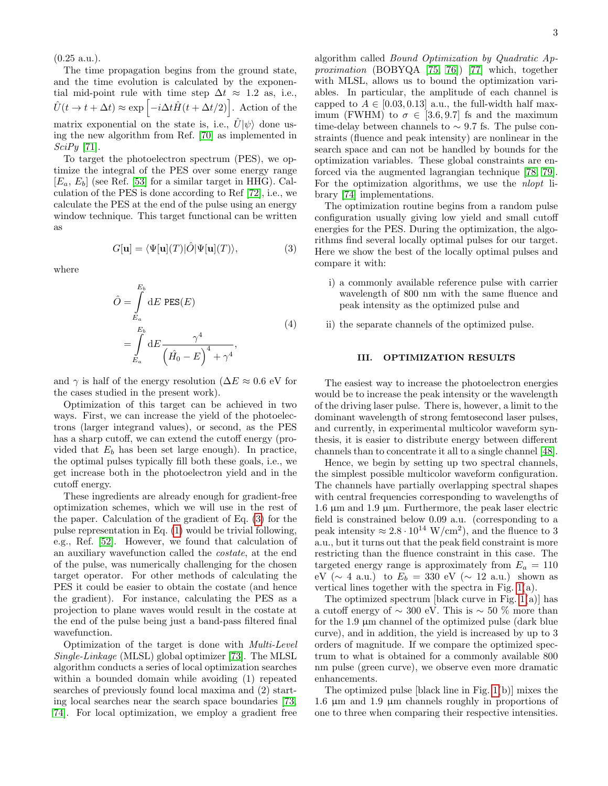(0.25 a.u.).

The time propagation begins from the ground state, and the time evolution is calculated by the exponential mid-point rule with time step  $\Delta t \approx 1.2$  as, i.e.,  $\hat{U}(t \to t + \Delta t) \approx \exp \left[-i\Delta t \hat{H}(t + \Delta t/2)\right]$ . Action of the matrix exponential on the state is, i.e.,  $\hat{U}|\psi\rangle$  done using the new algorithm from Ref. [\[70\]](#page-6-17) as implemented in  $SciPy$  [\[71\]](#page-6-18).

To target the photoelectron spectrum (PES), we optimize the integral of the PES over some energy range  $[E_a, E_b]$  (see Ref. [\[53\]](#page-6-7) for a similar target in HHG). Calculation of the PES is done according to Ref [\[72\]](#page-6-19), i.e., we calculate the PES at the end of the pulse using an energy window technique. This target functional can be written as

<span id="page-2-0"></span>
$$
G[\mathbf{u}] = \langle \Psi[\mathbf{u}](T) | \hat{O} | \Psi[\mathbf{u}](T) \rangle, \tag{3}
$$

where

$$
\hat{O} = \int_{E_a}^{E_b} dE \text{ PES}(E)
$$
\n
$$
= \int_{E_a}^{E_b} dE \frac{\gamma^4}{\left(\hat{H}_0 - E\right)^4 + \gamma^4}, \tag{4}
$$

and  $\gamma$  is half of the energy resolution ( $\Delta E \approx 0.6$  eV for the cases studied in the present work).

Optimization of this target can be achieved in two ways. First, we can increase the yield of the photoelectrons (larger integrand values), or second, as the PES has a sharp cutoff, we can extend the cutoff energy (provided that  $E<sub>b</sub>$  has been set large enough). In practice, the optimal pulses typically fill both these goals, i.e., we get increase both in the photoelectron yield and in the cutoff energy.

These ingredients are already enough for gradient-free optimization schemes, which we will use in the rest of the paper. Calculation of the gradient of Eq. [\(3\)](#page-2-0) for the pulse representation in Eq. [\(1\)](#page-1-0) would be trivial following, e.g., Ref. [\[52\]](#page-6-6). However, we found that calculation of an auxiliary wavefunction called the costate, at the end of the pulse, was numerically challenging for the chosen target operator. For other methods of calculating the PES it could be easier to obtain the costate (and hence the gradient). For instance, calculating the PES as a projection to plane waves would result in the costate at the end of the pulse being just a band-pass filtered final wavefunction.

Optimization of the target is done with Multi-Level Single-Linkage (MLSL) global optimizer [\[73\]](#page-6-20). The MLSL algorithm conducts a series of local optimization searches within a bounded domain while avoiding (1) repeated searches of previously found local maxima and (2) starting local searches near the search space boundaries [\[73,](#page-6-20) [74\]](#page-6-21). For local optimization, we employ a gradient free

algorithm called Bound Optimization by Quadratic Approximation (BOBYQA [\[75,](#page-6-22) [76\]](#page-6-23)) [\[77\]](#page-6-24) which, together with MLSL, allows us to bound the optimization variables. In particular, the amplitude of each channel is capped to  $A \in [0.03, 0.13]$  a.u., the full-width half maximum (FWHM) to  $\sigma \in [3.6, 9.7]$  fs and the maximum time-delay between channels to  $\sim$  9.7 fs. The pulse constraints (fluence and peak intensity) are nonlinear in the search space and can not be handled by bounds for the optimization variables. These global constraints are enforced via the augmented lagrangian technique [\[78,](#page-6-25) [79\]](#page-6-26). For the optimization algorithms, we use the *nlopt* library [\[74\]](#page-6-21) implementations.

The optimization routine begins from a random pulse configuration usually giving low yield and small cutoff energies for the PES. During the optimization, the algorithms find several locally optimal pulses for our target. Here we show the best of the locally optimal pulses and compare it with:

- i) a commonly available reference pulse with carrier wavelength of 800 nm with the same fluence and peak intensity as the optimized pulse and
- ii) the separate channels of the optimized pulse.

#### III. OPTIMIZATION RESULTS

The easiest way to increase the photoelectron energies would be to increase the peak intensity or the wavelength of the driving laser pulse. There is, however, a limit to the dominant wavelength of strong femtosecond laser pulses, and currently, in experimental multicolor waveform synthesis, it is easier to distribute energy between different channels than to concentrate it all to a single channel [\[48\]](#page-6-4).

Hence, we begin by setting up two spectral channels, the simplest possible multicolor waveform configuration. The channels have partially overlapping spectral shapes with central frequencies corresponding to wavelengths of 1.6  $\mu$ m and 1.9  $\mu$ m. Furthermore, the peak laser electric field is constrained below 0.09 a.u. (corresponding to a peak intensity  $\approx 2.8 \cdot 10^{14} \text{ W/cm}^2$ , and the fluence to 3 a.u., but it turns out that the peak field constraint is more restricting than the fluence constraint in this case. The targeted energy range is approximately from  $E_a = 110$ eV ( $\sim$  4 a.u.) to  $E_b = 330$  eV ( $\sim$  12 a.u.) shown as vertical lines together with the spectra in Fig. [1\(](#page-3-0)a).

The optimized spectrum [black curve in Fig.  $1(a)$ ] has a cutoff energy of  $\sim 300$  eV. This is  $\sim 50$  % more than for the  $1.9 \mu$ m channel of the optimized pulse (dark blue) curve), and in addition, the yield is increased by up to 3 orders of magnitude. If we compare the optimized spectrum to what is obtained for a commonly available 800 nm pulse (green curve), we observe even more dramatic enhancements.

The optimized pulse [black line in Fig. [1\(](#page-3-0)b)] mixes the 1.6 µm and 1.9 µm channels roughly in proportions of one to three when comparing their respective intensities.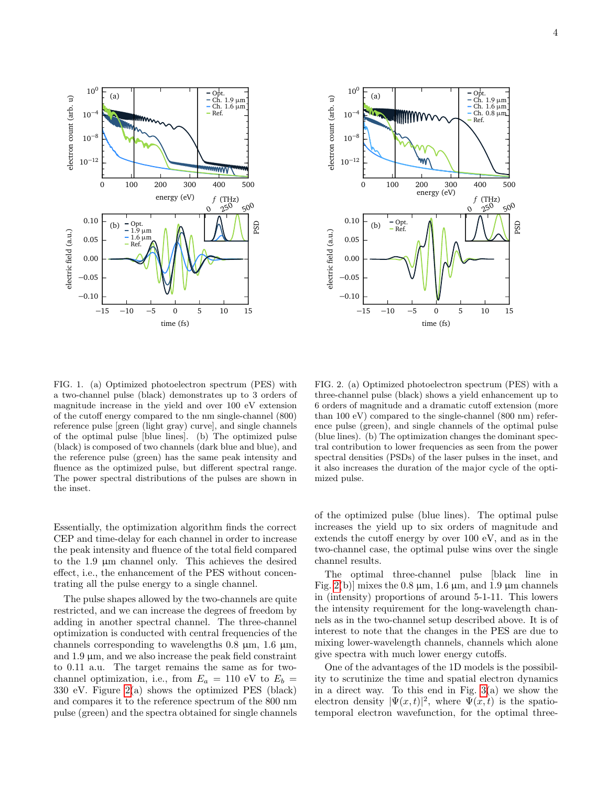

<span id="page-3-0"></span>FIG. 1. (a) Optimized photoelectron spectrum (PES) with a two-channel pulse (black) demonstrates up to 3 orders of magnitude increase in the yield and over 100 eV extension of the cutoff energy compared to the nm single-channel (800) reference pulse [green (light gray) curve], and single channels of the optimal pulse [blue lines]. (b) The optimized pulse (black) is composed of two channels (dark blue and blue), and the reference pulse (green) has the same peak intensity and fluence as the optimized pulse, but different spectral range. The power spectral distributions of the pulses are shown in the inset.

Essentially, the optimization algorithm finds the correct CEP and time-delay for each channel in order to increase the peak intensity and fluence of the total field compared to the 1.9 µm channel only. This achieves the desired effect, i.e., the enhancement of the PES without concentrating all the pulse energy to a single channel.

The pulse shapes allowed by the two-channels are quite restricted, and we can increase the degrees of freedom by adding in another spectral channel. The three-channel optimization is conducted with central frequencies of the channels corresponding to wavelengths  $0.8 \mu m$ ,  $1.6 \mu m$ , and  $1.9 \mu m$ , and we also increase the peak field constraint to 0.11 a.u. The target remains the same as for twochannel optimization, i.e., from  $E_a = 110$  eV to  $E_b =$ 330 eV. Figure [2\(](#page-3-1)a) shows the optimized PES (black) and compares it to the reference spectrum of the 800 nm pulse (green) and the spectra obtained for single channels



<span id="page-3-1"></span>FIG. 2. (a) Optimized photoelectron spectrum (PES) with a three-channel pulse (black) shows a yield enhancement up to 6 orders of magnitude and a dramatic cutoff extension (more than 100 eV) compared to the single-channel (800 nm) reference pulse (green), and single channels of the optimal pulse (blue lines). (b) The optimization changes the dominant spectral contribution to lower frequencies as seen from the power spectral densities (PSDs) of the laser pulses in the inset, and it also increases the duration of the major cycle of the optimized pulse.

of the optimized pulse (blue lines). The optimal pulse increases the yield up to six orders of magnitude and extends the cutoff energy by over 100 eV, and as in the two-channel case, the optimal pulse wins over the single channel results.

The optimal three-channel pulse [black line in Fig. [2\(](#page-3-1)b)] mixes the 0.8  $\mu$ m, 1.6  $\mu$ m, and 1.9  $\mu$ m channels in (intensity) proportions of around 5-1-11. This lowers the intensity requirement for the long-wavelength channels as in the two-channel setup described above. It is of interest to note that the changes in the PES are due to mixing lower-wavelength channels, channels which alone give spectra with much lower energy cutoffs.

One of the advantages of the 1D models is the possibility to scrutinize the time and spatial electron dynamics in a direct way. To this end in Fig.  $3(a)$  we show the electron density  $|\Psi(x,t)|^2$ , where  $\Psi(x,t)$  is the spatiotemporal electron wavefunction, for the optimal three-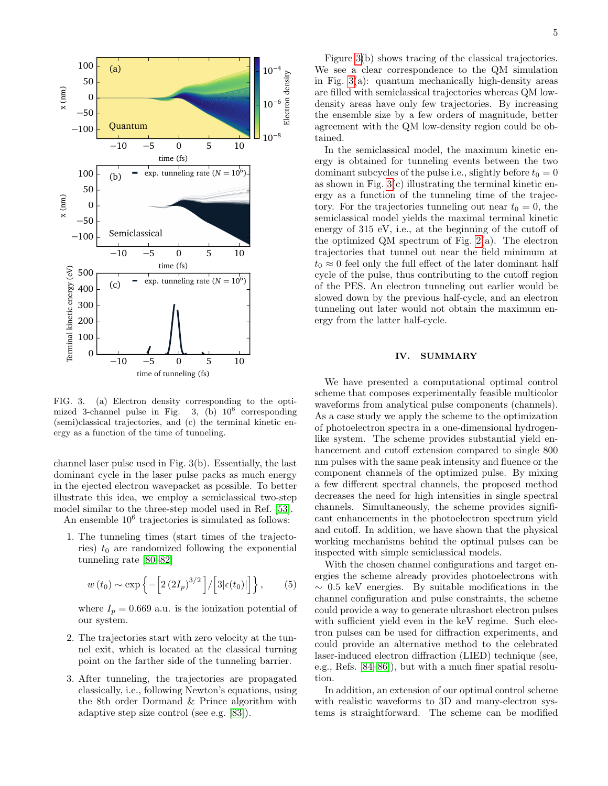

<span id="page-4-0"></span>FIG. 3. (a) Electron density corresponding to the optimized 3-channel pulse in Fig. 3. (b)  $10^6$  corresponding (semi)classical trajectories, and (c) the terminal kinetic energy as a function of the time of tunneling.

channel laser pulse used in Fig. 3(b). Essentially, the last dominant cycle in the laser pulse packs as much energy in the ejected electron wavepacket as possible. To better illustrate this idea, we employ a semiclassical two-step model similar to the three-step model used in Ref. [\[53\]](#page-6-7).

An ensemble  $10^6$  trajectories is simulated as follows:

1. The tunneling times (start times of the trajectories)  $t_0$  are randomized following the exponential tunneling rate [\[80](#page-6-27)[–82\]](#page-6-28)

$$
w(t_0) \sim \exp \left\{-\left[2(2I_p)^{3/2}\right] / \left[3|\epsilon(t_0)|\right]\right\},
$$
 (5)

where  $I_p = 0.669$  a.u. is the ionization potential of our system.

- 2. The trajectories start with zero velocity at the tunnel exit, which is located at the classical turning point on the farther side of the tunneling barrier.
- 3. After tunneling, the trajectories are propagated classically, i.e., following Newton's equations, using the 8th order Dormand & Prince algorithm with adaptive step size control (see e.g. [\[83\]](#page-6-29)).

Figure [3\(](#page-4-0)b) shows tracing of the classical trajectories. We see a clear correspondence to the QM simulation in Fig. [3\(](#page-4-0)a): quantum mechanically high-density areas are filled with semiclassical trajectories whereas QM lowdensity areas have only few trajectories. By increasing the ensemble size by a few orders of magnitude, better agreement with the QM low-density region could be obtained.

In the semiclassical model, the maximum kinetic energy is obtained for tunneling events between the two dominant subcycles of the pulse i.e., slightly before  $t_0 = 0$ as shown in Fig.  $3(c)$  illustrating the terminal kinetic energy as a function of the tunneling time of the trajectory. For the trajectories tunneling out near  $t_0 = 0$ , the semiclassical model yields the maximal terminal kinetic energy of 315 eV, i.e., at the beginning of the cutoff of the optimized QM spectrum of Fig.  $2(a)$ . The electron trajectories that tunnel out near the field minimum at  $t_0 \approx 0$  feel only the full effect of the later dominant half cycle of the pulse, thus contributing to the cutoff region of the PES. An electron tunneling out earlier would be slowed down by the previous half-cycle, and an electron tunneling out later would not obtain the maximum energy from the latter half-cycle.

## IV. SUMMARY

We have presented a computational optimal control scheme that composes experimentally feasible multicolor waveforms from analytical pulse components (channels). As a case study we apply the scheme to the optimization of photoelectron spectra in a one-dimensional hydrogenlike system. The scheme provides substantial yield enhancement and cutoff extension compared to single 800 nm pulses with the same peak intensity and fluence or the component channels of the optimized pulse. By mixing a few different spectral channels, the proposed method decreases the need for high intensities in single spectral channels. Simultaneously, the scheme provides significant enhancements in the photoelectron spectrum yield and cutoff. In addition, we have shown that the physical working mechanisms behind the optimal pulses can be inspected with simple semiclassical models.

With the chosen channel configurations and target energies the scheme already provides photoelectrons with  $\sim$  0.5 keV energies. By suitable modifications in the channel configuration and pulse constraints, the scheme could provide a way to generate ultrashort electron pulses with sufficient yield even in the keV regime. Such electron pulses can be used for diffraction experiments, and could provide an alternative method to the celebrated laser-induced electron diffraction (LIED) technique (see, e.g., Refs. [\[84](#page-6-30)[–86\]](#page-7-0)), but with a much finer spatial resolution.

In addition, an extension of our optimal control scheme with realistic waveforms to 3D and many-electron systems is straightforward. The scheme can be modified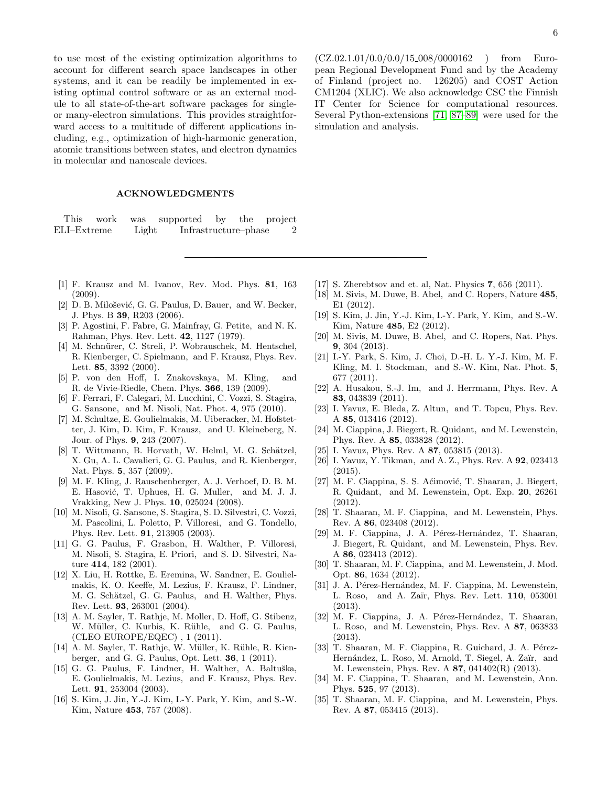to use most of the existing optimization algorithms to account for different search space landscapes in other systems, and it can be readily be implemented in existing optimal control software or as an external module to all state-of-the-art software packages for singleor many-electron simulations. This provides straightforward access to a multitude of different applications including, e.g., optimization of high-harmonic generation, atomic transitions between states, and electron dynamics in molecular and nanoscale devices.

#### ACKNOWLEDGMENTS

This work was supported by the project ELI–Extreme Light Infrastructure–phase 2

- <span id="page-5-0"></span>[1] F. Krausz and M. Ivanov, Rev. Mod. Phys. 81, 163 (2009).
- <span id="page-5-1"></span>[2] D. B. Milošević, G. G. Paulus, D. Bauer, and W. Becker, J. Phys. B 39, R203 (2006).
- <span id="page-5-2"></span>[3] P. Agostini, F. Fabre, G. Mainfray, G. Petite, and N. K. Rahman, Phys. Rev. Lett. 42, 1127 (1979).
- <span id="page-5-3"></span>[4] M. Schnürer, C. Streli, P. Wobrauschek, M. Hentschel, R. Kienberger, C. Spielmann, and F. Krausz, Phys. Rev. Lett. 85, 3392 (2000).
- <span id="page-5-4"></span>[5] P. von den Hoff, I. Znakovskaya, M. Kling, and R. de Vivie-Riedle, Chem. Phys. 366, 139 (2009).
- <span id="page-5-5"></span>[6] F. Ferrari, F. Calegari, M. Lucchini, C. Vozzi, S. Stagira, G. Sansone, and M. Nisoli, Nat. Phot. 4, 975 (2010).
- <span id="page-5-6"></span>[7] M. Schultze, E. Goulielmakis, M. Uiberacker, M. Hofstetter, J. Kim, D. Kim, F. Krausz, and U. Kleineberg, N. Jour. of Phys. 9, 243 (2007).
- <span id="page-5-7"></span>[8] T. Wittmann, B. Horvath, W. Helml, M. G. Schätzel, X. Gu, A. L. Cavalieri, G. G. Paulus, and R. Kienberger, Nat. Phys. 5, 357 (2009).
- <span id="page-5-8"></span>[9] M. F. Kling, J. Rauschenberger, A. J. Verhoef, D. B. M. E. Hasović, T. Uphues, H. G. Muller, and M. J. J. Vrakking, New J. Phys. 10, 025024 (2008).
- <span id="page-5-9"></span>[10] M. Nisoli, G. Sansone, S. Stagira, S. D. Silvestri, C. Vozzi, M. Pascolini, L. Poletto, P. Villoresi, and G. Tondello, Phys. Rev. Lett. 91, 213905 (2003).
- <span id="page-5-10"></span>[11] G. G. Paulus, F. Grasbon, H. Walther, P. Villoresi, M. Nisoli, S. Stagira, E. Priori, and S. D. Silvestri, Nature 414, 182 (2001).
- <span id="page-5-11"></span>[12] X. Liu, H. Rottke, E. Eremina, W. Sandner, E. Goulielmakis, K. O. Keeffe, M. Lezius, F. Krausz, F. Lindner, M. G. Schätzel, G. G. Paulus, and H. Walther, Phys. Rev. Lett. 93, 263001 (2004).
- <span id="page-5-12"></span>[13] A. M. Sayler, T. Rathje, M. Moller, D. Hoff, G. Stibenz, W. Müller, C. Kurbis, K. Rühle, and G. G. Paulus, (CLEO EUROPE/EQEC) , 1 (2011).
- <span id="page-5-13"></span>[14] A. M. Sayler, T. Rathje, W. Müller, K. Rühle, R. Kienberger, and G. G. Paulus, Opt. Lett. 36, 1 (2011).
- <span id="page-5-14"></span>[15] G. G. Paulus, F. Lindner, H. Walther, A. Baltuška, E. Goulielmakis, M. Lezius, and F. Krausz, Phys. Rev. Lett. 91, 253004 (2003).
- <span id="page-5-15"></span>[16] S. Kim, J. Jin, Y.-J. Kim, I.-Y. Park, Y. Kim, and S.-W. Kim, Nature 453, 757 (2008).

 $(CZ.02.1.01/0.0/0.0/15\_008/0000162)$  from European Regional Development Fund and by the Academy of Finland (project no. 126205) and COST Action CM1204 (XLIC). We also acknowledge CSC the Finnish IT Center for Science for computational resources. Several Python-extensions [\[71,](#page-6-18) [87–](#page-7-1)[89\]](#page-7-2) were used for the simulation and analysis.

- <span id="page-5-16"></span>[17] S. Zherebtsov and et. al, Nat. Physics 7, 656 (2011).
- <span id="page-5-17"></span>[18] M. Sivis, M. Duwe, B. Abel, and C. Ropers, Nature 485, E1 (2012).
- [19] S. Kim, J. Jin, Y.-J. Kim, I.-Y. Park, Y. Kim, and S.-W. Kim, Nature 485, E2 (2012).
- <span id="page-5-18"></span>[20] M. Sivis, M. Duwe, B. Abel, and C. Ropers, Nat. Phys. 9, 304 (2013).
- <span id="page-5-19"></span>[21] I.-Y. Park, S. Kim, J. Choi, D.-H. L. Y.-J. Kim, M. F. Kling, M. I. Stockman, and S.-W. Kim, Nat. Phot. 5, 677 (2011).
- <span id="page-5-20"></span>[22] A. Husakou, S.-J. Im, and J. Herrmann, Phys. Rev. A 83, 043839 (2011).
- [23] I. Yavuz, E. Bleda, Z. Altun, and T. Topcu, Phys. Rev. A 85, 013416 (2012).
- [24] M. Ciappina, J. Biegert, R. Quidant, and M. Lewenstein, Phys. Rev. A 85, 033828 (2012).
- [25] I. Yavuz, Phys. Rev. A **87**, 053815 (2013).
- [26] I. Yavuz, Y. Tikman, and A. Z., Phys. Rev. A 92, 023413 (2015).
- [27] M. F. Ciappina, S. S. Aćimović, T. Shaaran, J. Biegert, R. Quidant, and M. Lewenstein, Opt. Exp. 20, 26261 (2012).
- [28] T. Shaaran, M. F. Ciappina, and M. Lewenstein, Phys. Rev. A 86, 023408 (2012).
- [29] M. F. Ciappina, J. A. Pérez-Hernández, T. Shaaran, J. Biegert, R. Quidant, and M. Lewenstein, Phys. Rev. A 86, 023413 (2012).
- [30] T. Shaaran, M. F. Ciappina, and M. Lewenstein, J. Mod. Opt. 86, 1634 (2012).
- [31] J. A. Pérez-Hernández, M. F. Ciappina, M. Lewenstein, L. Roso, and A. Zaïr, Phys. Rev. Lett. **110**, 053001 (2013).
- [32] M. F. Ciappina, J. A. Pérez-Hernández, T. Shaaran, L. Roso, and M. Lewenstein, Phys. Rev. A 87, 063833 (2013).
- [33] T. Shaaran, M. F. Ciappina, R. Guichard, J. A. Pérez-Hernández, L. Roso, M. Arnold, T. Siegel, A. Zaïr, and M. Lewenstein, Phys. Rev. A 87, 041402(R) (2013).
- [34] M. F. Ciappina, T. Shaaran, and M. Lewenstein, Ann. Phys. 525, 97 (2013).
- [35] T. Shaaran, M. F. Ciappina, and M. Lewenstein, Phys. Rev. A 87, 053415 (2013).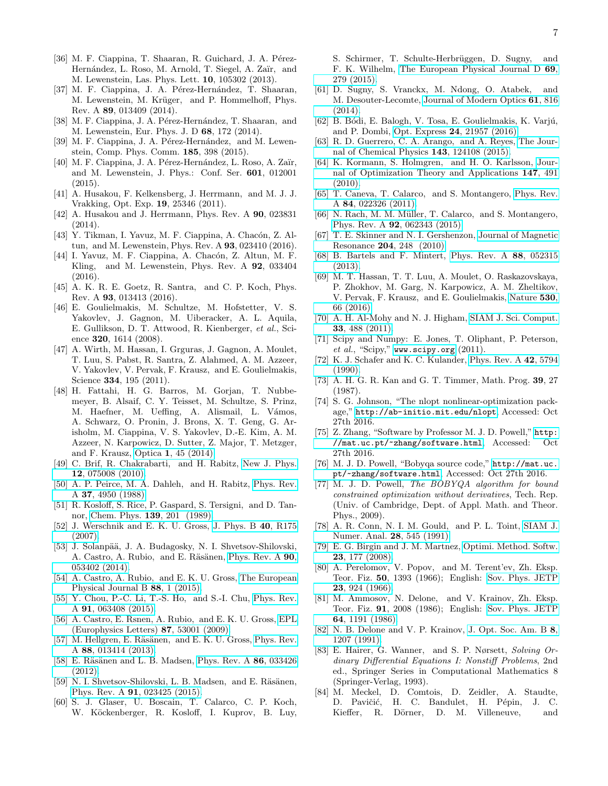- [36] M. F. Ciappina, T. Shaaran, R. Guichard, J. A. Pérez-Hernández, L. Roso, M. Arnold, T. Siegel, A. Zaïr, and M. Lewenstein, Las. Phys. Lett. 10, 105302 (2013).
- [37] M. F. Ciappina, J. A. Pérez-Hernández, T. Shaaran, M. Lewenstein, M. Krüger, and P. Hommelhoff, Phys. Rev. A 89, 013409 (2014).
- [38] M. F. Ciappina, J. A. Pérez-Hernández, T. Shaaran, and M. Lewenstein, Eur. Phys. J. D 68, 172 (2014).
- [39] M. F. Ciappina, J. A. Pérez-Hernández, and M. Lewenstein, Comp. Phys. Comm. 185, 398 (2015).
- [40] M. F. Ciappina, J. A. Pérez-Hernández, L. Roso, A. Zaïr, and M. Lewenstein, J. Phys.: Conf. Ser. 601, 012001  $(2015)$ .
- [41] A. Husakou, F. Kelkensberg, J. Herrmann, and M. J. J. Vrakking, Opt. Exp. 19, 25346 (2011).
- [42] A. Husakou and J. Herrmann, Phys. Rev. A **90**, 023831 (2014).
- [43] Y. Tikman, I. Yavuz, M. F. Ciappina, A. Chacón, Z. Altun, and M. Lewenstein, Phys. Rev. A 93, 023410 (2016).
- <span id="page-6-0"></span>[44] I. Yavuz, M. F. Ciappina, A. Chacón, Z. Altun, M. F. Kling, and M. Lewenstein, Phys. Rev. A 92, 033404 (2016).
- <span id="page-6-1"></span>[45] A. K. R. E. Goetz, R. Santra, and C. P. Koch, Phys. Rev. A 93, 013413 (2016).
- <span id="page-6-2"></span>[46] E. Goulielmakis, M. Schultze, M. Hofstetter, V. S. Yakovlev, J. Gagnon, M. Uiberacker, A. L. Aquila, E. Gullikson, D. T. Attwood, R. Kienberger, et al., Science 320, 1614 (2008).
- <span id="page-6-3"></span>[47] A. Wirth, M. Hassan, I. Grguras, J. Gagnon, A. Moulet, T. Luu, S. Pabst, R. Santra, Z. Alahmed, A. M. Azzeer, V. Yakovlev, V. Pervak, F. Krausz, and E. Goulielmakis, Science 334, 195 (2011).
- <span id="page-6-4"></span>[48] H. Fattahi, H. G. Barros, M. Gorjan, T. Nubbemeyer, B. Alsaif, C. Y. Teisset, M. Schultze, S. Prinz, M. Haefner, M. Ueffing, A. Alismail, L. Vámos, A. Schwarz, O. Pronin, J. Brons, X. T. Geng, G. Arisholm, M. Ciappina, V. S. Yakovlev, D.-E. Kim, A. M. Azzeer, N. Karpowicz, D. Sutter, Z. Major, T. Metzger, and F. Krausz, Optica 1[, 45 \(2014\).](http://dx.doi.org/10.1364/OPTICA.1.000045)
- <span id="page-6-5"></span>[49] C. Brif, R. Chakrabarti, and H. Rabitz, [New J. Phys.](http://stacks.iop.org/1367-2630/12/i=7/a=075008) 12[, 075008 \(2010\).](http://stacks.iop.org/1367-2630/12/i=7/a=075008)
- [50] A. P. Peirce, M. A. Dahleh, and H. Rabitz, [Phys. Rev.](http://link.aps.org/doi/10.1103/PhysRevA.37.4950) A 37[, 4950 \(1988\).](http://link.aps.org/doi/10.1103/PhysRevA.37.4950)
- [51] R. Kosloff, S. Rice, P. Gaspard, S. Tersigni, and D. Tannor, [Chem. Phys.](http://dx.doi.org/ http://dx.doi.org/10.1016/0301-0104(89)90012-8) 139, 201 (1989).
- <span id="page-6-6"></span>[52] J. Werschnik and E. K. U. Gross, [J. Phys. B](http://stacks.iop.org/0953-4075/40/i=18/a=R01) 40, R175 [\(2007\).](http://stacks.iop.org/0953-4075/40/i=18/a=R01)
- <span id="page-6-7"></span>[53] J. Solanpää, J. A. Budagosky, N. I. Shvetsov-Shilovski, A. Castro, A. Rubio, and E. Räsänen, [Phys. Rev. A](http://dx.doi.org/10.1103/PhysRevA.90.053402) 90, [053402 \(2014\).](http://dx.doi.org/10.1103/PhysRevA.90.053402)
- [54] A. Castro, A. Rubio, and E. K. U. Gross, [The European](http://dx.doi.org/10.1140/epjb/e2015-50889-7) [Physical Journal B](http://dx.doi.org/10.1140/epjb/e2015-50889-7) 88, 1 (2015).
- <span id="page-6-8"></span>[55] Y. Chou, P.-C. Li, T.-S. Ho, and S.-I. Chu, [Phys. Rev.](http://dx.doi.org/ 10.1103/PhysRevA.91.063408) A 91[, 063408 \(2015\).](http://dx.doi.org/ 10.1103/PhysRevA.91.063408)
- <span id="page-6-9"></span>[56] A. Castro, E. Rsnen, A. Rubio, and E. K. U. Gross, [EPL](http://stacks.iop.org/0295-5075/87/i=5/a=53001) [\(Europhysics Letters\)](http://stacks.iop.org/0295-5075/87/i=5/a=53001) 87, 53001 (2009).
- [57] M. Hellgren, E. Räsänen, and E. K. U. Gross, [Phys. Rev.](http://dx.doi.org/10.1103/PhysRevA.88.013414) A 88[, 013414 \(2013\).](http://dx.doi.org/10.1103/PhysRevA.88.013414)
- [58] E. Räsänen and L. B. Madsen, [Phys. Rev. A](http://dx.doi.org/10.1103/PhysRevA.86.033426) 86, 033426 [\(2012\).](http://dx.doi.org/10.1103/PhysRevA.86.033426)
- <span id="page-6-10"></span>[59] N. I. Shvetsov-Shilovski, L. B. Madsen, and E. Räsänen, Phys. Rev. A 91[, 023425 \(2015\).](http://dx.doi.org/10.1103/PhysRevA.91.023425)
- <span id="page-6-11"></span>[60] S. J. Glaser, U. Boscain, T. Calarco, C. P. Koch, W. Köckenberger, R. Kosloff, I. Kuprov, B. Luy,

S. Schirmer, T. Schulte-Herbrüggen, D. Sugny, and F. K. Wilhelm, [The European Physical Journal D](http://dx.doi.org/10.1140/epjd/e2015-60464-1) 69, [279 \(2015\).](http://dx.doi.org/10.1140/epjd/e2015-60464-1)

- <span id="page-6-12"></span>[61] D. Sugny, S. Vranckx, M. Ndong, O. Atabek, and M. Desouter-Lecomte, [Journal of Modern Optics](http://dx.doi.org/ 10.1080/09500340.2013.844281) 61, 816  $(2014).$
- <span id="page-6-13"></span>[62] B. Bódi, E. Balogh, V. Tosa, E. Goulielmakis, K. Varjú, and P. Dombi, Opt. Express 24[, 21957 \(2016\).](http://dx.doi.org/ 10.1364/OE.24.021957)
- <span id="page-6-14"></span>[63] R. D. Guerrero, C. A. Arango, and A. Reyes, [The Jour](http://dx.doi.org/http://dx.doi.org/10.1063/1.4931449)[nal of Chemical Physics](http://dx.doi.org/http://dx.doi.org/10.1063/1.4931449) 143, 124108 (2015).
- [64] K. Kormann, S. Holmgren, and H. O. Karlsson, [Jour](http://dx.doi.org/10.1007/s10957-010-9735-9)[nal of Optimization Theory and Applications](http://dx.doi.org/10.1007/s10957-010-9735-9) 147, 491  $(2010)$ .
- [65] T. Caneva, T. Calarco, and S. Montangero, [Phys. Rev.](http://dx.doi.org/10.1103/PhysRevA.84.022326) A 84[, 022326 \(2011\).](http://dx.doi.org/10.1103/PhysRevA.84.022326)
- [66] N. Rach, M. M. Müller, T. Calarco, and S. Montangero, Phys. Rev. A 92[, 062343 \(2015\).](http://dx.doi.org/10.1103/PhysRevA.92.062343)
- [67] T. E. Skinner and N. I. Gershenzon, [Journal of Magnetic](http://dx.doi.org/http://dx.doi.org/10.1016/j.jmr.2010.03.002) Resonance 204[, 248 \(2010\).](http://dx.doi.org/http://dx.doi.org/10.1016/j.jmr.2010.03.002)
- <span id="page-6-15"></span>[68] B. Bartels and F. Mintert, [Phys. Rev. A](http://dx.doi.org/10.1103/PhysRevA.88.052315) 88, 052315 [\(2013\).](http://dx.doi.org/10.1103/PhysRevA.88.052315)
- <span id="page-6-16"></span>[69] M. T. Hassan, T. T. Luu, A. Moulet, O. Raskazovskaya, P. Zhokhov, M. Garg, N. Karpowicz, A. M. Zheltikov, V. Pervak, F. Krausz, and E. Goulielmakis, [Nature](http://dx.doi.org/ 10.1038/nature16528) 530, [66 \(2016\).](http://dx.doi.org/ 10.1038/nature16528)
- <span id="page-6-17"></span>[70] A. H. Al-Mohy and N. J. Higham, [SIAM J. Sci. Comput.](http://dx.doi.org/10.1137/100788860) 33[, 488 \(2011\).](http://dx.doi.org/10.1137/100788860)
- <span id="page-6-18"></span>[71] Scipy and Numpy: E. Jones, T. Oliphant, P. Peterson, et al., "Scipy," <www.scipy.org> (2011).
- <span id="page-6-19"></span>[72] K. J. Schafer and K. C. Kulander, [Phys. Rev. A](http://dx.doi.org/10.1103/PhysRevA.42.5794) 42, 5794 [\(1990\).](http://dx.doi.org/10.1103/PhysRevA.42.5794)
- <span id="page-6-20"></span>[73] A. H. G. R. Kan and G. T. Timmer, Math. Prog. 39, 27 (1987).
- <span id="page-6-21"></span>[74] S. G. Johnson, "The nlopt nonlinear-optimization package," <http://ab-initio.mit.edu/nlopt>, Accessed: Oct 27th 2016.
- <span id="page-6-22"></span>[75] Z. Zhang, "Software by Professor M. J. D. Powell," [http:](http://mat.uc.pt/~zhang/software.html) [//mat.uc.pt/~zhang/software.html](http://mat.uc.pt/~zhang/software.html), Accessed: Oct 27th 2016.
- <span id="page-6-23"></span>[76] M. J. D. Powell, "Bobyqa source code," [http://mat.uc.](http://mat.uc.pt/~zhang/software.html) [pt/~zhang/software.html](http://mat.uc.pt/~zhang/software.html), Accessed: Oct 27th 2016.
- <span id="page-6-24"></span>[77] M. J. D. Powell, The BOBYQA algorithm for bound constrained optimization without derivatives, Tech. Rep. (Univ. of Cambridge, Dept. of Appl. Math. and Theor. Phys., 2009).
- <span id="page-6-25"></span>[78] A. R. Conn, N. I. M. Gould, and P. L. Toint, [SIAM J.](http://www.jstor.org/stable/2157828) [Numer. Anal.](http://www.jstor.org/stable/2157828) 28, 545 (1991).
- <span id="page-6-26"></span>[79] E. G. Birgin and J. M. Martnez, [Optimi. Method. Softw.](http://dx.doi.org/10.1080/10556780701577730) 23[, 177 \(2008\).](http://dx.doi.org/10.1080/10556780701577730)
- <span id="page-6-27"></span>[80] A. Perelomov, V. Popov, and M. Terent'ev, Zh. Eksp. Teor. Fiz. 50, 1393 (1966); English: [Sov. Phys. JETP](http://www.jetp.ac.ru/cgi-bin/e/index/e/23/5/p924?a=list) 23[, 924 \(1966\).](http://www.jetp.ac.ru/cgi-bin/e/index/e/23/5/p924?a=list)
- [81] M. Ammosov, N. Delone, and V. Krainov, Zh. Eksp. Teor. Fiz. 91, 2008 (1986); English: [Sov. Phys. JETP](http://www.jetp.ac.ru/cgi-bin/e/index/e/64/6/p1191?a=list) 64[, 1191 \(1986\).](http://www.jetp.ac.ru/cgi-bin/e/index/e/64/6/p1191?a=list)
- <span id="page-6-28"></span>[82] N. B. Delone and V. P. Krainov, [J. Opt. Soc. Am. B](http://dx.doi.org/10.1364/JOSAB.8.001207) 8, [1207 \(1991\).](http://dx.doi.org/10.1364/JOSAB.8.001207)
- <span id="page-6-29"></span>[83] E. Hairer, G. Wanner, and S. P. Nørsett, Solving Ordinary Differential Equations I: Nonstiff Problems, 2nd ed., Springer Series in Computational Mathematics 8 (Springer-Verlag, 1993).
- <span id="page-6-30"></span>[84] M. Meckel, D. Comtois, D. Zeidler, A. Staudte, D. Pavičić, H. C. Bandulet, H. Pépin, J. C. Kieffer, R. Dörner, D. M. Villeneuve, and